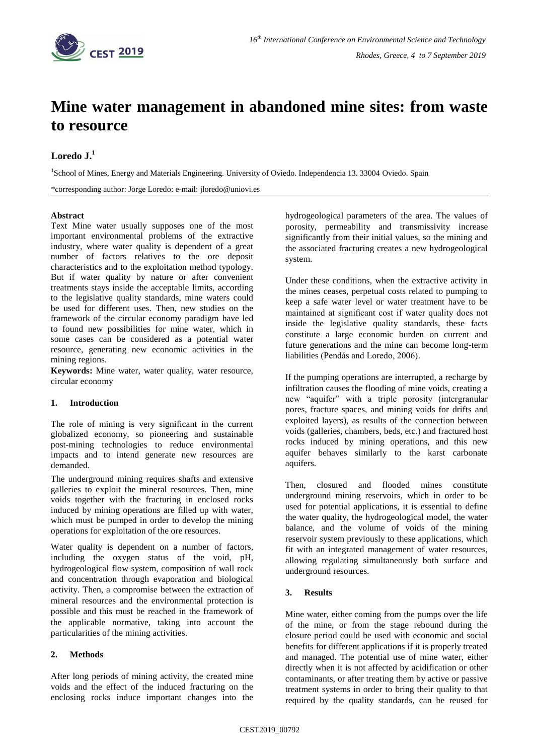

# **Mine water management in abandoned mine sites: from waste to resource**

## **Loredo J.<sup>1</sup>**

<sup>1</sup>School of Mines, Energy and Materials Engineering. University of Oviedo. Independencia 13. 33004 Oviedo. Spain

\*corresponding author: Jorge Loredo: e-mail: jloredo@uniovi.es

## **Abstract**

Text Mine water usually supposes one of the most important environmental problems of the extractive industry, where water quality is dependent of a great number of factors relatives to the ore deposit characteristics and to the exploitation method typology. But if water quality by nature or after convenient treatments stays inside the acceptable limits, according to the legislative quality standards, mine waters could be used for different uses. Then, new studies on the framework of the circular economy paradigm have led to found new possibilities for mine water, which in some cases can be considered as a potential water resource, generating new economic activities in the mining regions.

**Keywords:** Mine water, water quality, water resource, circular economy

### **1. Introduction**

The role of mining is very significant in the current globalized economy, so pioneering and sustainable post-mining technologies to reduce environmental impacts and to intend generate new resources are demanded.

The underground mining requires shafts and extensive galleries to exploit the mineral resources. Then, mine voids together with the fracturing in enclosed rocks induced by mining operations are filled up with water, which must be pumped in order to develop the mining operations for exploitation of the ore resources.

Water quality is dependent on a number of factors, including the oxygen status of the void, pH, hydrogeological flow system, composition of wall rock and concentration through evaporation and biological activity. Then, a compromise between the extraction of mineral resources and the environmental protection is possible and this must be reached in the framework of the applicable normative, taking into account the particularities of the mining activities.

## **2. Methods**

After long periods of mining activity, the created mine voids and the effect of the induced fracturing on the enclosing rocks induce important changes into the hydrogeological parameters of the area. The values of porosity, permeability and transmissivity increase significantly from their initial values, so the mining and the associated fracturing creates a new hydrogeological system.

Under these conditions, when the extractive activity in the mines ceases, perpetual costs related to pumping to keep a safe water level or water treatment have to be maintained at significant cost if water quality does not inside the legislative quality standards, these facts constitute a large economic burden on current and future generations and the mine can become long-term liabilities (Pendás and Loredo, 2006).

If the pumping operations are interrupted, a recharge by infiltration causes the flooding of mine voids, creating a new "aquifer" with a triple porosity (intergranular pores, fracture spaces, and mining voids for drifts and exploited layers), as results of the connection between voids (galleries, chambers, beds, etc.) and fractured host rocks induced by mining operations, and this new aquifer behaves similarly to the karst carbonate aquifers.

Then, closured and flooded mines constitute underground mining reservoirs, which in order to be used for potential applications, it is essential to define the water quality, the hydrogeological model, the water balance, and the volume of voids of the mining reservoir system previously to these applications, which fit with an integrated management of water resources, allowing regulating simultaneously both surface and underground resources.

## **3. Results**

Mine water, either coming from the pumps over the life of the mine, or from the stage rebound during the closure period could be used with economic and social benefits for different applications if it is properly treated and managed. The potential use of mine water, either directly when it is not affected by acidification or other contaminants, or after treating them by active or passive treatment systems in order to bring their quality to that required by the quality standards, can be reused for